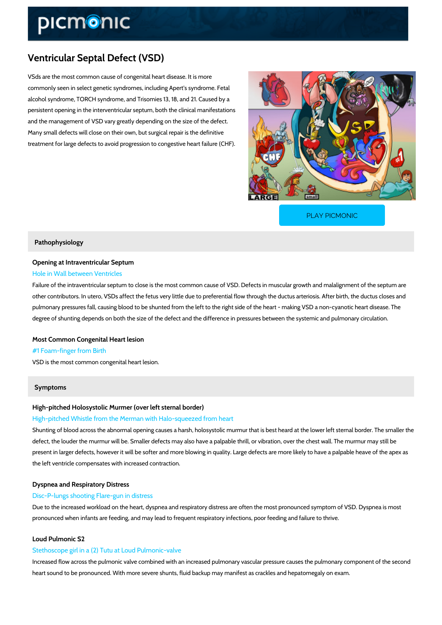# Ventricular Septal Defect (VSD)

VSds are the most common cause of congenital heart disease. It is more commonly seen in select genetic syndromes, including Apert's syndrome. Fetal alcohol syndrome, TORCH syndrome, and Trisomies 13, 18, and 21. Caused by a persistent opening in the interventricular septum, both the clinical manifestations and the management of VSD vary greatly depending on the size of the defect. Many small defects will close on their own, but surgical repair is the definitive treatment for large defects to avoid progression to congestive heart failure (CHF).

[PLAY PICMONIC](https://www.picmonic.com/learn/ventricular-septal-defect-vsd_2467?utm_source=downloadable_content&utm_medium=distributedcontent&utm_campaign=pathways_pdf&utm_content=Ventricular Septal Defect (VSD)&utm_ad_group=leads&utm_market=all)

### Pathophysiology

## Opening at Intraventricular Septum Hole in Wall between Ventricles

Failure of the intraventricular septum to close is the most common cause of VSD. Defects in n other contributors. In utero, VSDs affect the fetus very little due to preferential flow through pulmonary pressures fall, causing blood to be shunted from the left to the right side of the he degree of shunting depends on both the size of the defect and the difference in pressures bet

Most Common Congenital Heart lesion #1 Foam-finger from Birth VSD is the most common congenital heart lesion.

## Symptoms

High-pitched Holosystolic Murmer (over left sternal border)

## High-pitched Whistle from the Merman with Halo-squeezed from heart

Shunting of blood across the abnormal opening causes a harsh, holosystolic murmur that is be defect, the louder the murmur will be. Smaller defects may also have a palpable thrill, or vibr present in larger defects, however it will be softer and more blowing in quality. Large defects the left ventricle compensates with increased contraction.

## Dyspnea and Respiratory Distress

## Disc-P-lungs shooting Flare-gun in distress

Due to the increased workload on the heart, dyspnea and respiratory distress are often the mo pronounced when infants are feeding, and may lead to frequent respiratory infections, poor fe

## Loud Pulmonic S2

#### Stethoscope girl in a (2) Tutu at Loud Pulmonic-valve

Increased flow across the pulmonic valve combined with an increased pulmonary vascular pres heart sound to be pronounced. With more severe shunts, fluid backup may manifest as crackle